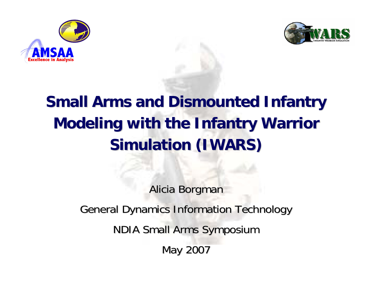



## **Small Arms and Dismounted Infantry Modeling with the Infantry Warrior Simulation (IWARS) Simulation (IWARS)**

Alicia Borgman General Dynamics Information Technology **NDIA Small Arms Symposium** May 2007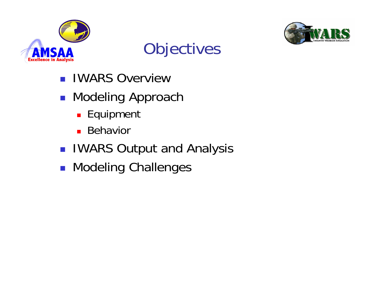





- **IWARS Overview**
- **READ Modeling Approach** 
	- **Equipment**
	- **Behavior**
- **IWARS Output and Analysis**
- **Refing Challenges**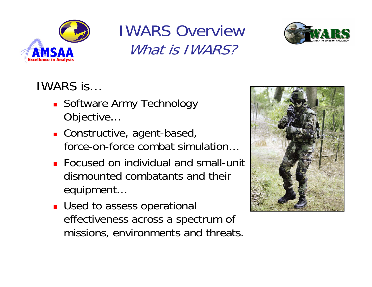

#### IWARS OverviewWhat is **IWARS?**



#### IWARS is…

- **Software Army Technology** Objective…
- **Constructive, agent-based,** force-on-force combat simulation…
- **Focused on individual and small-unit** dismounted combatants and their equipment…
- **Used to assess operational** effectiveness across a spectrum of missions, environments and threats.

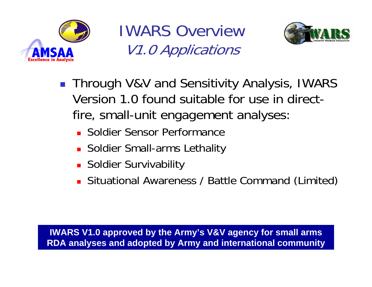

IWARS OverviewV1.0 Applications



- Through V&V and Sensitivity Analysis, IWARS Version 1.0 found suitable for use in directfire, small-unit engagement analyses:
	- **E** Soldier Sensor Performance
	- Soldier Small-arms Lethality
	- **Soldier Survivability**
	- **Situational Awareness / Battle Command (Limited)**

**IWARS V1.0 approved by the Army's V&V agency for small arms RDA analyses and adopted by Army and international community**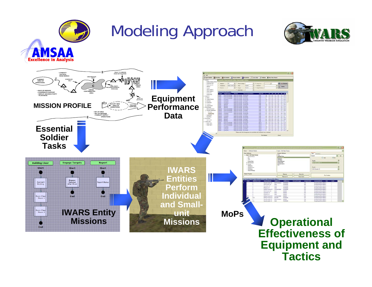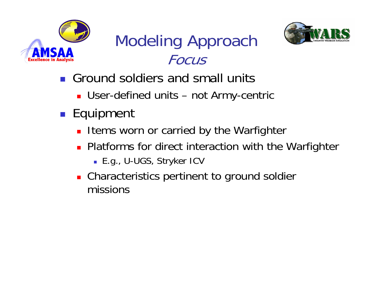

## Modeling Approach Focus



- **Ground soldiers and small units** 
	- User-defined units not Army-centric
- Equipment
	- **ILEMENT WORN OF CARTIED BY the Warfighter**
	- **Platforms for direct interaction with the Warfighter** 
		- E.g., U-UGS, Stryker ICV
	- **Characteristics pertinent to ground soldier** missions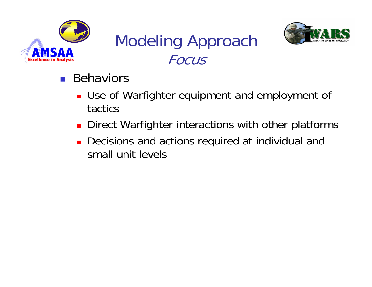

## Modeling Approach Focus



- **Behaviors** 
	- Use of Warfighter equipment and employment of tactics
	- **Direct Warfighter interactions with other platforms**
	- **Decisions and actions required at individual and** small unit levels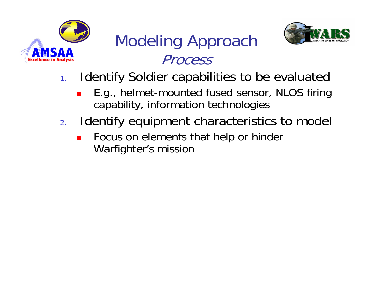

#### Modeling Approach Process



- 1. Identify Soldier capabilities to be evaluated
	- $\mathcal{L}_{\mathcal{A}}$  E.g., helmet-mounted fused sensor, NLOS firing capability, information technologies
- 2. Identify equipment characteristics to model
	- $\blacksquare$  Focus on elements that help or hinder Warfighter's mission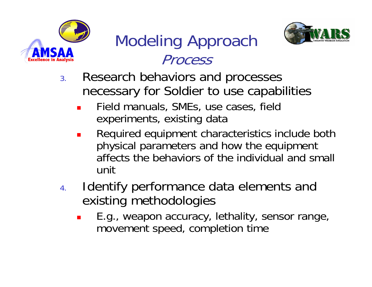

#### Modeling Approach **Process**



- 3. Research behaviors and processes necessary for Soldier to use capabilities
	- × Field manuals, SMEs, use cases, field experiments, existing data
	- П Required equipment characteristics include both physical parameters and how the equipment affects the behaviors of the individual and small unit
- 4. Identify performance data elements and existing methodologies
	- × E.g., weapon accuracy, lethality, sensor range, movement speed, completion time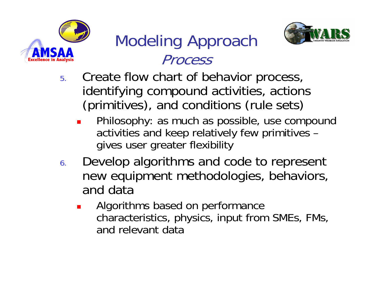

### Modeling Approach Process



- 5. Create flow chart of behavior process, identifying compound activities, actions (primitives), and conditions (rule sets)
	- × Philosophy: as much as possible, use compound activities and keep relatively few primitives – gives user greater flexibility
- 6. Develop algorithms and code to represent new equipment methodologies, behaviors, and data
	- × Algorithms based on performance characteristics, physics, input from SMEs, FMs, and relevant data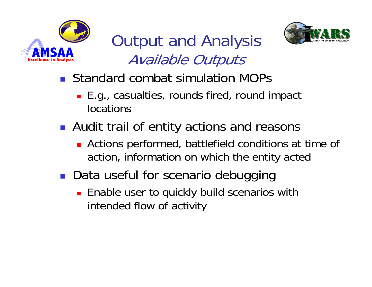

Output and Analysis Available Outputs



- **Standard combat simulation MOPs** 
	- E.g., casualties, rounds fired, round impact locations
- **Audit trail of entity actions and reasons** 
	- **Actions performed, battlefield conditions at time of** action, information on which the entity acted
- **Data useful for scenario debugging** 
	- **Enable user to quickly build scenarios with** intended flow of activity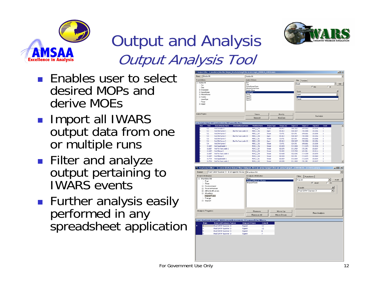

# Output and Analysis Output Analysis Tool



- Import all IWARS output data from one or multiple runs
- **Filter and analyze** output pertaining to IWARS events
- **Further analysis easily** performed in any spreadsheet application

| Munition Hit<br>Name:<br>Event Attributes:<br>(ii) Munition Hit<br>Run<br>Time<br>(ii) Environment<br>H-SourceHuman |                    |                                                                                                                                                                   |                          | Munition Hit         |                                         |                    |                    |                        |                       |                      |                          |                          |
|---------------------------------------------------------------------------------------------------------------------|--------------------|-------------------------------------------------------------------------------------------------------------------------------------------------------------------|--------------------------|----------------------|-----------------------------------------|--------------------|--------------------|------------------------|-----------------------|----------------------|--------------------------|--------------------------|
|                                                                                                                     |                    |                                                                                                                                                                   |                          | Analysis Attributes: |                                         |                    |                    |                        |                       |                      |                          |                          |
|                                                                                                                     |                    |                                                                                                                                                                   |                          | Run                  |                                         |                    |                    | Filter                 | <b>Functions</b>      |                      |                          |                          |
|                                                                                                                     |                    |                                                                                                                                                                   |                          | Time                 |                                         |                    |                    | Equals                 |                       |                      |                          | Σ<br>Add                 |
|                                                                                                                     |                    |                                                                                                                                                                   |                          |                      | SourceHuman Name<br>Affected fuman Name |                    |                    |                        |                       | $G$ And              | C <sub>0</sub>           |                          |
|                                                                                                                     |                    |                                                                                                                                                                   |                          | Munition Name        |                                         |                    |                    |                        |                       |                      |                          |                          |
|                                                                                                                     |                    |                                                                                                                                                                   |                          | ImpactType           |                                         |                    |                    |                        | Equals                |                      |                          | ×                        |
| El-Affected-fuman                                                                                                   |                    |                                                                                                                                                                   |                          | Rance<br>ImpactX     |                                         |                    |                    |                        | Agent                 |                      |                          | ٠                        |
| (ii) Munition<br>ImpactType                                                                                         |                    |                                                                                                                                                                   |                          | Impact.Y             |                                         |                    |                    |                        | Agent<br>Terrain      |                      |                          |                          |
| Range                                                                                                               |                    |                                                                                                                                                                   |                          | Impact <sub>Z</sub>  |                                         |                    |                    |                        |                       |                      |                          |                          |
| (ii) Impact                                                                                                         |                    |                                                                                                                                                                   |                          |                      |                                         |                    |                    |                        |                       |                      |                          |                          |
| Analysis Progress:                                                                                                  |                    |                                                                                                                                                                   |                          |                      | Remove                                  |                    | Move Up            |                        |                       |                      |                          |                          |
|                                                                                                                     |                    |                                                                                                                                                                   |                          |                      | Rettove All                             |                    | Move Down          |                        |                       | Run Analysis         |                          |                          |
|                                                                                                                     |                    |                                                                                                                                                                   |                          |                      |                                         |                    |                    |                        |                       |                      |                          |                          |
| Run                                                                                                                 | Time               | Last Analysis Output: 3003 records in event, 3003 passed the filters.<br>SourceHuman.Name                                                                         | AffectedHuman.Name       |                      | <b>Munition/Name</b>                    | <b>Impact Type</b> | Range (m)          | <b>Impact.X</b>        | <b>Impact.Y</b>       | Impact.Z             | Count                    |                          |
|                                                                                                                     | 5.2                | Red Grenader B                                                                                                                                                    |                          |                      | M406_1_224                              | Terrain            | 60.0917            | 1506.3212              | 1699.0912             | 130.0196             |                          |                          |
|                                                                                                                     | 5.2                | Red SAW Gunner 3                                                                                                                                                  | Blue Fire Team Leader 10 |                      | M855_1_246                              | Agent              | 85.0012            | 1528.3107              | 1702.9894             | 130.1556             |                          |                          |
|                                                                                                                     | 5.2                | Red SAW Gunner 7                                                                                                                                                  |                          |                      | M655_1_247                              | Terrain            | 73.4751            | 1524.976               | 1690.6661             | 130.0038             |                          |                          |
|                                                                                                                     | 5.3                | Red SAW Gunner 3                                                                                                                                                  | Blue Fire Team Leader 10 |                      | M055_1_250                              | Agent,             | 05.0012            | 1520.3107              | 1702.9094             | 130.1556             |                          |                          |
|                                                                                                                     | 5.3                | Red SAW Gunner 7                                                                                                                                                  |                          |                      | M055_1_251                              | Terrain            | 73,4751            | 1524.976               | 1690.6661             | 130.0030             |                          |                          |
|                                                                                                                     | 5.4                | Red SAW Gunner 3                                                                                                                                                  | Blue Fire Team Leader 10 |                      | M855_1_252                              | Agent.             | 85.0012            | 1528.3107              | 1702.9894             | 130.1556             |                          |                          |
|                                                                                                                     | 5.4                | Red SAW Gunner 7                                                                                                                                                  |                          |                      | M655_1_253                              | Terrain            | 73,4751            | 1524.976               | 1690.6661             | 130.0038             |                          |                          |
|                                                                                                                     | 11.6057            | Red Squad Leader 1                                                                                                                                                |                          |                      | M193_1_256                              | Terrain            | 65.0529            | 1513.0024              | 1712.1175             | 130.0154             |                          |                          |
|                                                                                                                     |                    |                                                                                                                                                                   |                          |                      | M193_1_257                              | Terrain            | 65.5295            | 1511.3419              | 1701.345              | 130.0157             |                          |                          |
|                                                                                                                     | 11.6057            | Red Fire Team Leader 2                                                                                                                                            |                          |                      |                                         | Terrain            | 59.0492            | 1515.7538              | 1694.986              | 130.0116             |                          |                          |
|                                                                                                                     | 11.6857            | Red Rifleman 5                                                                                                                                                    |                          |                      | M193_1_258                              |                    |                    |                        |                       |                      |                          |                          |
|                                                                                                                     | 11.6857            | Red Fire Team Leader 6                                                                                                                                            |                          |                      | M193_1_259                              | Terrain            | 83,4638            | 1522.8242              | 1714.3054             | 130.0078             |                          |                          |
|                                                                                                                     | 11.6057            | Red Rifleman 9                                                                                                                                                    |                          |                      | M193_1_260                              | Terrain            | 00.9520            | 1523.744               | 1712.6071             | 130.0069             |                          |                          |
|                                                                                                                     | 11.7714<br>11.7714 | Red Squad Leader 1<br>Red Fire Team Leader 2<br>To Analysis Editor - C:\iwarsbeta\Data Files\Output_fire at area target\fire at area target_20050616_143032.iwars |                          |                      | M193_1_261<br>M193_1_262                | Terrain<br>Terrain | 65.0529<br>65.5295 | 1513.0024<br>1511.3419 | 1712.1175<br>1701.345 | 130.0154<br>130.0157 | 1                        |                          |
|                                                                                                                     |                    | Red SAW Gunner 3 - # of agents hit ea                                                                                                                             |                          | Munition Hit         |                                         |                    |                    |                        |                       |                      |                          |                          |
|                                                                                                                     |                    |                                                                                                                                                                   |                          |                      | Analysis Attributes:                    |                    |                    |                        | Filter<br>Functions   |                      |                          |                          |
|                                                                                                                     |                    |                                                                                                                                                                   |                          | l Run i              | SourceHuman.Name                        |                    |                    |                        | Equals                |                      | $\overline{\phantom{a}}$ | Add                      |
| Run<br>Time                                                                                                         |                    |                                                                                                                                                                   |                          |                      | ImpactType                              |                    |                    |                        |                       | G And                | $C_0$ Or                 |                          |
| E- Environment                                                                                                      |                    |                                                                                                                                                                   |                          |                      |                                         |                    |                    |                        |                       |                      |                          |                          |
| E-SourceHuman                                                                                                       |                    |                                                                                                                                                                   |                          |                      |                                         |                    |                    |                        | Equals                |                      |                          | $\vert x \vert$          |
| 图· AffectedHuman                                                                                                    |                    |                                                                                                                                                                   |                          |                      |                                         |                    |                    |                        | Red SAW Gunner 3      |                      |                          | $\overline{\phantom{a}}$ |
| Fi-Munition                                                                                                         |                    |                                                                                                                                                                   |                          |                      |                                         |                    |                    |                        |                       |                      |                          |                          |
| Name:<br>Event Attributes:<br><b>□ Munition Hit</b>                                                                 | ImpactType         |                                                                                                                                                                   |                          |                      |                                         |                    |                    |                        |                       |                      |                          |                          |
| Range                                                                                                               |                    |                                                                                                                                                                   |                          |                      |                                         |                    |                    |                        |                       |                      |                          |                          |
| in Impact                                                                                                           |                    |                                                                                                                                                                   |                          |                      |                                         |                    |                    |                        |                       |                      |                          |                          |
|                                                                                                                     |                    |                                                                                                                                                                   |                          |                      |                                         |                    |                    |                        |                       |                      |                          |                          |
|                                                                                                                     |                    |                                                                                                                                                                   |                          |                      |                                         |                    |                    |                        |                       |                      |                          |                          |
| Analysis Progress:                                                                                                  |                    |                                                                                                                                                                   |                          |                      | Remove                                  |                    | Move Up            |                        |                       |                      |                          |                          |
|                                                                                                                     |                    |                                                                                                                                                                   |                          |                      | Remove All                              |                    | Move Down          |                        |                       | Run Analysis         |                          |                          |
|                                                                                                                     |                    |                                                                                                                                                                   |                          |                      |                                         |                    |                    |                        |                       |                      |                          |                          |
| Run                                                                                                                 |                    | Last Analysis Output: 3803 records in event, 37 passed the filters.<br>SourceHuman.Name                                                                           |                          | <b>ImpactType</b>    |                                         | Count              |                    |                        |                       |                      |                          |                          |
|                                                                                                                     |                    | Red SAW Gunner 3                                                                                                                                                  | Agent                    |                      | 12                                      |                    |                    |                        |                       |                      |                          |                          |
| 4                                                                                                                   |                    | Red SAW Gunner 3                                                                                                                                                  | Agent                    |                      | 12                                      |                    |                    |                        |                       |                      |                          | $\Box$ o $\times$<br>▼   |
| 5                                                                                                                   |                    | Red SAW Gunner 3                                                                                                                                                  | Agent                    |                      | 6                                       |                    |                    |                        |                       |                      |                          |                          |

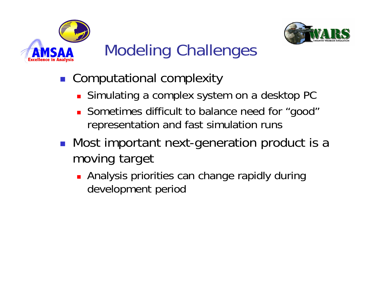



## Modeling Challenges

- Computational complexity
	- **Simulating a complex system on a desktop PC**
	- Sometimes difficult to balance need for "good" representation and fast simulation runs
- **Nost important next-generation product is a** moving target
	- **Analysis priorities can change rapidly during** development period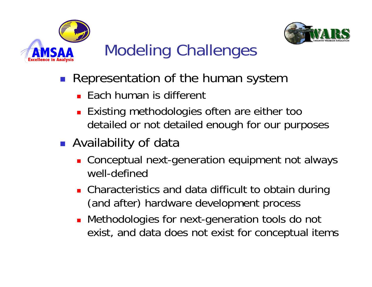



## Modeling Challenges

- **Representation of the human system** 
	- Each human is different
	- **Existing methodologies often are either too** detailed or not detailed enough for our purposes
- **Availability of data** 
	- Conceptual next-generation equipment not always well-defined
	- **Characteristics and data difficult to obtain during** (and after) hardware development process
	- Methodologies for next-generation tools do not exist, and data does not exist for conceptual items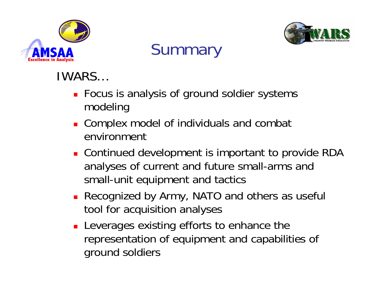



#### **Summary**

#### IWARS…

- **Focus is analysis of ground soldier systems** modeling
- **Complex model of individuals and combat** environment
- **Continued development is important to provide RDA** analyses of current and future small-arms and small-unit equipment and tactics
- **Recognized by Army, NATO and others as useful** tool for acquisition analyses
- **Leverages existing efforts to enhance the** representation of equipment and capabilities of ground soldiers